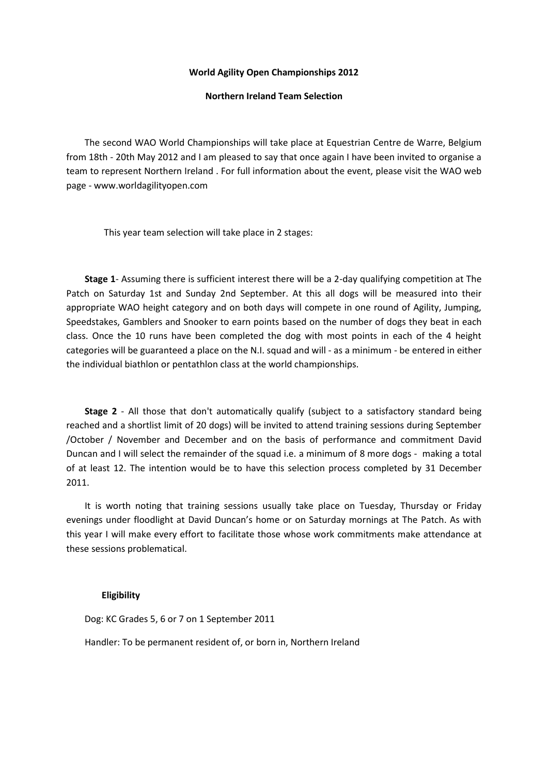### **World Agility Open Championships 2012**

## **Northern Ireland Team Selection**

 The second WAO World Championships will take place at Equestrian Centre de Warre, Belgium from 18th - 20th May 2012 and I am pleased to say that once again I have been invited to organise a team to represent Northern Ireland . For full information about the event, please visit the WAO web page - www.worldagilityopen.com

This year team selection will take place in 2 stages:

 **Stage 1**- Assuming there is sufficient interest there will be a 2-day qualifying competition at The Patch on Saturday 1st and Sunday 2nd September. At this all dogs will be measured into their appropriate WAO height category and on both days will compete in one round of Agility, Jumping, Speedstakes, Gamblers and Snooker to earn points based on the number of dogs they beat in each class. Once the 10 runs have been completed the dog with most points in each of the 4 height categories will be guaranteed a place on the N.I. squad and will - as a minimum - be entered in either the individual biathlon or pentathlon class at the world championships.

 **Stage 2** - All those that don't automatically qualify (subject to a satisfactory standard being reached and a shortlist limit of 20 dogs) will be invited to attend training sessions during September /October / November and December and on the basis of performance and commitment David Duncan and I will select the remainder of the squad i.e. a minimum of 8 more dogs - making a total of at least 12. The intention would be to have this selection process completed by 31 December 2011.

 It is worth noting that training sessions usually take place on Tuesday, Thursday or Friday evenings under floodlight at David Duncan's home or on Saturday mornings at The Patch. As with this year I will make every effort to facilitate those whose work commitments make attendance at these sessions problematical.

#### **Eligibility**

Dog: KC Grades 5, 6 or 7 on 1 September 2011

Handler: To be permanent resident of, or born in, Northern Ireland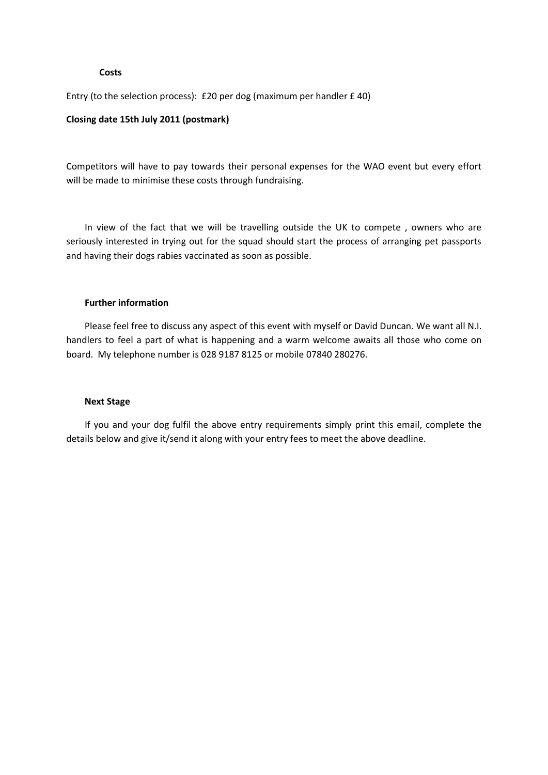## **Costs**

Entry (to the selection process): £20 per dog (maximum per handler £ 40)

# **Closing date 15th July 2011 (postmark)**

Competitors will have to pay towards their personal expenses for the WAO event but every effort will be made to minimise these costs through fundraising.

 In view of the fact that we will be travelling outside the UK to compete , owners who are seriously interested in trying out for the squad should start the process of arranging pet passports and having their dogs rabies vaccinated as soon as possible.

## **Further information**

 Please feel free to discuss any aspect of this event with myself or David Duncan. We want all N.I. handlers to feel a part of what is happening and a warm welcome awaits all those who come on board. My telephone number is 028 9187 8125 or mobile 07840 280276.

#### **Next Stage**

 If you and your dog fulfil the above entry requirements simply print this email, complete the details below and give it/send it along with your entry fees to meet the above deadline.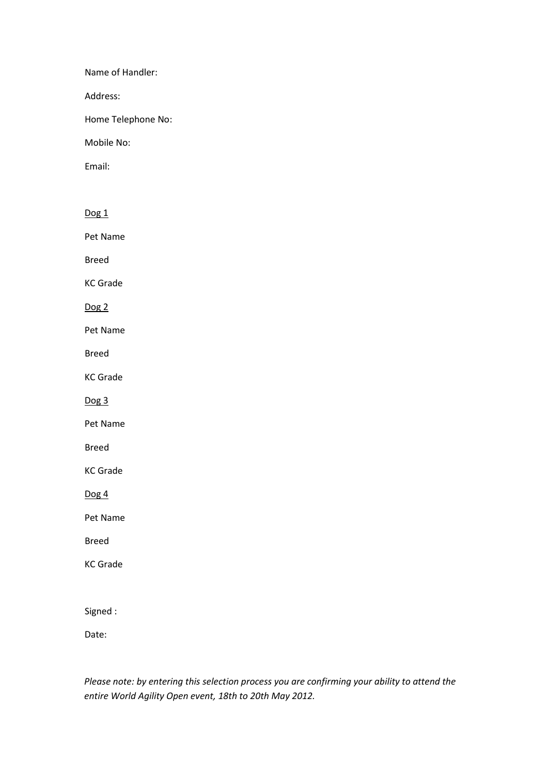Name of Handler:

Address:

Home Telephone No:

Mobile No:

Email:

Dog<sub>1</sub> Pet Name Breed KC Grade Dog 2 Pet Name Breed KC Grade Dog 3 Pet Name Breed KC Grade Dog<sub>4</sub> Pet Name Breed KC Grade Signed :

Date:

*Please note: by entering this selection process you are confirming your ability to attend the entire World Agility Open event, 18th to 20th May 2012.*